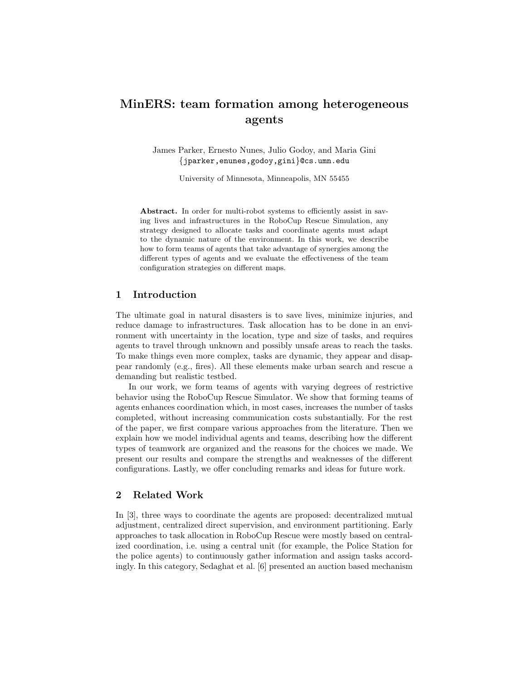# MinERS: team formation among heterogeneous agents

James Parker, Ernesto Nunes, Julio Godoy, and Maria Gini {jparker,enunes,godoy,gini}@cs.umn.edu

University of Minnesota, Minneapolis, MN 55455

Abstract. In order for multi-robot systems to efficiently assist in saving lives and infrastructures in the RoboCup Rescue Simulation, any strategy designed to allocate tasks and coordinate agents must adapt to the dynamic nature of the environment. In this work, we describe how to form teams of agents that take advantage of synergies among the different types of agents and we evaluate the effectiveness of the team configuration strategies on different maps.

# 1 Introduction

The ultimate goal in natural disasters is to save lives, minimize injuries, and reduce damage to infrastructures. Task allocation has to be done in an environment with uncertainty in the location, type and size of tasks, and requires agents to travel through unknown and possibly unsafe areas to reach the tasks. To make things even more complex, tasks are dynamic, they appear and disappear randomly (e.g., fires). All these elements make urban search and rescue a demanding but realistic testbed.

In our work, we form teams of agents with varying degrees of restrictive behavior using the RoboCup Rescue Simulator. We show that forming teams of agents enhances coordination which, in most cases, increases the number of tasks completed, without increasing communication costs substantially. For the rest of the paper, we first compare various approaches from the literature. Then we explain how we model individual agents and teams, describing how the different types of teamwork are organized and the reasons for the choices we made. We present our results and compare the strengths and weaknesses of the different configurations. Lastly, we offer concluding remarks and ideas for future work.

# 2 Related Work

In [3], three ways to coordinate the agents are proposed: decentralized mutual adjustment, centralized direct supervision, and environment partitioning. Early approaches to task allocation in RoboCup Rescue were mostly based on centralized coordination, i.e. using a central unit (for example, the Police Station for the police agents) to continuously gather information and assign tasks accordingly. In this category, Sedaghat et al. [6] presented an auction based mechanism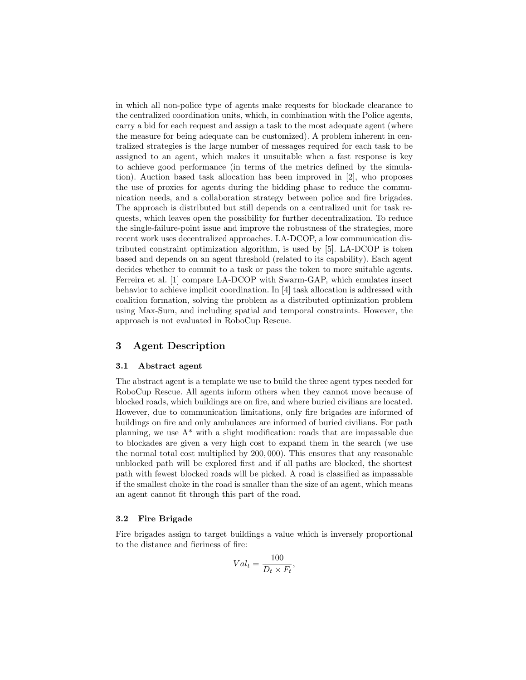in which all non-police type of agents make requests for blockade clearance to the centralized coordination units, which, in combination with the Police agents, carry a bid for each request and assign a task to the most adequate agent (where the measure for being adequate can be customized). A problem inherent in centralized strategies is the large number of messages required for each task to be assigned to an agent, which makes it unsuitable when a fast response is key to achieve good performance (in terms of the metrics defined by the simulation). Auction based task allocation has been improved in [2], who proposes the use of proxies for agents during the bidding phase to reduce the communication needs, and a collaboration strategy between police and fire brigades. The approach is distributed but still depends on a centralized unit for task requests, which leaves open the possibility for further decentralization. To reduce the single-failure-point issue and improve the robustness of the strategies, more recent work uses decentralized approaches. LA-DCOP, a low communication distributed constraint optimization algorithm, is used by [5]. LA-DCOP is token based and depends on an agent threshold (related to its capability). Each agent decides whether to commit to a task or pass the token to more suitable agents. Ferreira et al. [1] compare LA-DCOP with Swarm-GAP, which emulates insect behavior to achieve implicit coordination. In [4] task allocation is addressed with coalition formation, solving the problem as a distributed optimization problem using Max-Sum, and including spatial and temporal constraints. However, the approach is not evaluated in RoboCup Rescue.

# 3 Agent Description

#### 3.1 Abstract agent

The abstract agent is a template we use to build the three agent types needed for RoboCup Rescue. All agents inform others when they cannot move because of blocked roads, which buildings are on fire, and where buried civilians are located. However, due to communication limitations, only fire brigades are informed of buildings on fire and only ambulances are informed of buried civilians. For path planning, we use  $A^*$  with a slight modification: roads that are impassable due to blockades are given a very high cost to expand them in the search (we use the normal total cost multiplied by 200, 000). This ensures that any reasonable unblocked path will be explored first and if all paths are blocked, the shortest path with fewest blocked roads will be picked. A road is classified as impassable if the smallest choke in the road is smaller than the size of an agent, which means an agent cannot fit through this part of the road.

#### 3.2 Fire Brigade

Fire brigades assign to target buildings a value which is inversely proportional to the distance and fieriness of fire:

$$
Val_t = \frac{100}{D_t \times F_t},
$$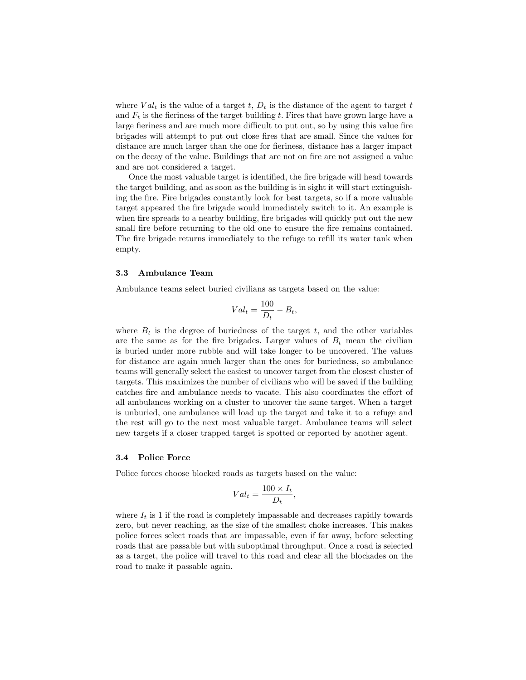where  $Val_t$  is the value of a target t,  $D_t$  is the distance of the agent to target t and  $F_t$  is the fieriness of the target building t. Fires that have grown large have a large fieriness and are much more difficult to put out, so by using this value fire brigades will attempt to put out close fires that are small. Since the values for distance are much larger than the one for fieriness, distance has a larger impact on the decay of the value. Buildings that are not on fire are not assigned a value and are not considered a target.

Once the most valuable target is identified, the fire brigade will head towards the target building, and as soon as the building is in sight it will start extinguishing the fire. Fire brigades constantly look for best targets, so if a more valuable target appeared the fire brigade would immediately switch to it. An example is when fire spreads to a nearby building, fire brigades will quickly put out the new small fire before returning to the old one to ensure the fire remains contained. The fire brigade returns immediately to the refuge to refill its water tank when empty.

#### 3.3 Ambulance Team

Ambulance teams select buried civilians as targets based on the value:

$$
Val_t = \frac{100}{D_t} - B_t,
$$

where  $B_t$  is the degree of buriedness of the target t, and the other variables are the same as for the fire brigades. Larger values of  $B_t$  mean the civilian is buried under more rubble and will take longer to be uncovered. The values for distance are again much larger than the ones for buriedness, so ambulance teams will generally select the easiest to uncover target from the closest cluster of targets. This maximizes the number of civilians who will be saved if the building catches fire and ambulance needs to vacate. This also coordinates the effort of all ambulances working on a cluster to uncover the same target. When a target is unburied, one ambulance will load up the target and take it to a refuge and the rest will go to the next most valuable target. Ambulance teams will select new targets if a closer trapped target is spotted or reported by another agent.

#### 3.4 Police Force

Police forces choose blocked roads as targets based on the value:

$$
Val_t = \frac{100 \times I_t}{D_t}
$$

,

where  $I_t$  is 1 if the road is completely impassable and decreases rapidly towards zero, but never reaching, as the size of the smallest choke increases. This makes police forces select roads that are impassable, even if far away, before selecting roads that are passable but with suboptimal throughput. Once a road is selected as a target, the police will travel to this road and clear all the blockades on the road to make it passable again.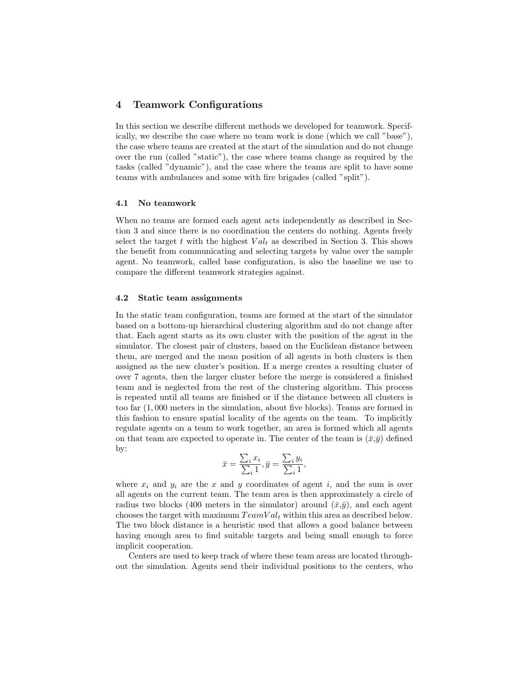# 4 Teamwork Configurations

In this section we describe different methods we developed for teamwork. Specifically, we describe the case where no team work is done (which we call "base"), the case where teams are created at the start of the simulation and do not change over the run (called "static"), the case where teams change as required by the tasks (called "dynamic"), and the case where the teams are split to have some teams with ambulances and some with fire brigades (called "split").

#### 4.1 No teamwork

When no teams are formed each agent acts independently as described in Section 3 and since there is no coordination the centers do nothing. Agents freely select the target t with the highest  $Val_t$  as described in Section 3. This shows the benefit from communicating and selecting targets by value over the sample agent. No teamwork, called base configuration, is also the baseline we use to compare the different teamwork strategies against.

#### 4.2 Static team assignments

In the static team configuration, teams are formed at the start of the simulator based on a bottom-up hierarchical clustering algorithm and do not change after that. Each agent starts as its own cluster with the position of the agent in the simulator. The closest pair of clusters, based on the Euclidean distance between them, are merged and the mean position of all agents in both clusters is then assigned as the new cluster's position. If a merge creates a resulting cluster of over 7 agents, then the larger cluster before the merge is considered a finished team and is neglected from the rest of the clustering algorithm. This process is repeated until all teams are finished or if the distance between all clusters is too far (1, 000 meters in the simulation, about five blocks). Teams are formed in this fashion to ensure spatial locality of the agents on the team. To implicitly regulate agents on a team to work together, an area is formed which all agents on that team are expected to operate in. The center of the team is  $(\bar{x}, \bar{y})$  defined by:

$$
\bar{x} = \frac{\sum_{i} x_i}{\sum_{i} 1}, \bar{y} = \frac{\sum_{i} y_i}{\sum_{i} 1},
$$

where  $x_i$  and  $y_i$  are the x and y coordinates of agent i, and the sum is over all agents on the current team. The team area is then approximately a circle of radius two blocks (400 meters in the simulator) around  $(\bar{x}, \bar{y})$ , and each agent chooses the target with maximum  $TeamVal_t$  within this area as described below. The two block distance is a heuristic used that allows a good balance between having enough area to find suitable targets and being small enough to force implicit cooperation.

Centers are used to keep track of where these team areas are located throughout the simulation. Agents send their individual positions to the centers, who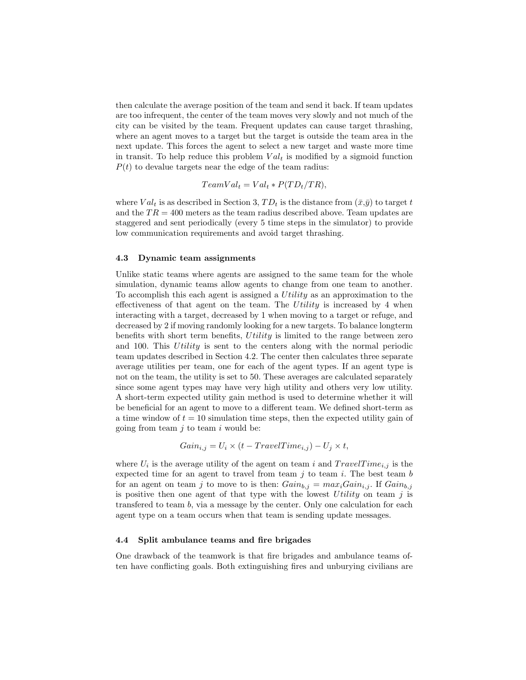then calculate the average position of the team and send it back. If team updates are too infrequent, the center of the team moves very slowly and not much of the city can be visited by the team. Frequent updates can cause target thrashing, where an agent moves to a target but the target is outside the team area in the next update. This forces the agent to select a new target and waste more time in transit. To help reduce this problem  $Val_t$  is modified by a sigmoid function  $P(t)$  to devalue targets near the edge of the team radius:

$$
TeamVal_t = Val_t * P(TD_t / TR),
$$

where  $Val_t$  is as described in Section 3,  $TD_t$  is the distance from  $(\bar{x}, \bar{y})$  to target t and the  $TR = 400$  meters as the team radius described above. Team updates are staggered and sent periodically (every 5 time steps in the simulator) to provide low communication requirements and avoid target thrashing.

#### 4.3 Dynamic team assignments

Unlike static teams where agents are assigned to the same team for the whole simulation, dynamic teams allow agents to change from one team to another. To accomplish this each agent is assigned a  $Utility$  as an approximation to the effectiveness of that agent on the team. The Utility is increased by 4 when interacting with a target, decreased by 1 when moving to a target or refuge, and decreased by 2 if moving randomly looking for a new targets. To balance longterm benefits with short term benefits, Utility is limited to the range between zero and 100. This Utility is sent to the centers along with the normal periodic team updates described in Section 4.2. The center then calculates three separate average utilities per team, one for each of the agent types. If an agent type is not on the team, the utility is set to 50. These averages are calculated separately since some agent types may have very high utility and others very low utility. A short-term expected utility gain method is used to determine whether it will be beneficial for an agent to move to a different team. We defined short-term as a time window of  $t = 10$  simulation time steps, then the expected utility gain of going from team  $i$  to team  $i$  would be:

$$
Gain_{i,j} = U_i \times (t - TravelTime_{i,j}) - U_j \times t,
$$

where  $U_i$  is the average utility of the agent on team i and  $TravelTime_{i,j}$  is the expected time for an agent to travel from team  $j$  to team  $i$ . The best team  $b$ for an agent on team j to move to is then:  $Gain_{b,j} = max_iGain_{i,j}$ . If  $Gain_{b,j}$ is positive then one agent of that type with the lowest Utility on team  $j$  is transfered to team b, via a message by the center. Only one calculation for each agent type on a team occurs when that team is sending update messages.

#### 4.4 Split ambulance teams and fire brigades

One drawback of the teamwork is that fire brigades and ambulance teams often have conflicting goals. Both extinguishing fires and unburying civilians are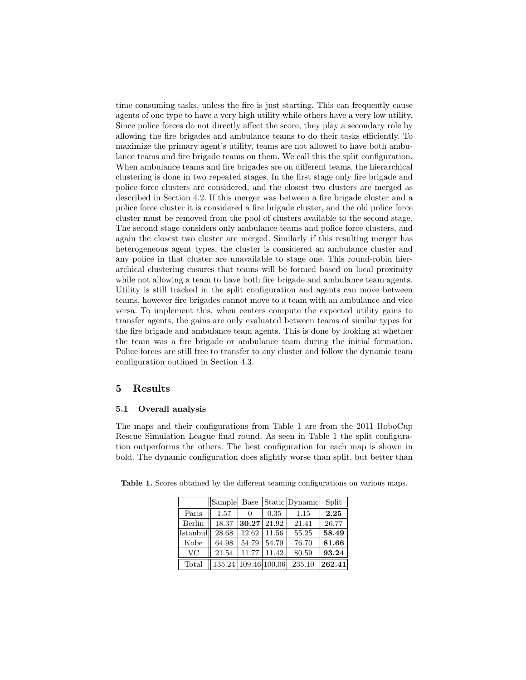time consuming tasks, unless the fire is just starting. This can frequently cause agents of one type to have a very high utility while others have a very low utility. Since police forces do not directly affect the score, they play a secondary role by allowing the fire brigades and ambulance teams to do their tasks efficiently. To maximize the primary agent's utility, teams are not allowed to have both ambulance teams and fire brigade teams on them. We call this the split configuration. When ambulance teams and fire brigades are on different teams, the hierarchical clustering is done in two repeated stages. In the first stage only fire brigade and police force clusters are considered, and the closest two clusters are merged as described in Section 4.2. If this merger was between a fire brigade cluster and a police force cluster it is considered a fire brigade cluster, and the old police force cluster must be removed from the pool of clusters available to the second stage. The second stage considers only ambulance teams and police force clusters, and again the closest two cluster are merged. Similarly if this resulting merger has heterogeneous agent types, the cluster is considered an ambulance cluster and any police in that cluster are unavailable to stage one. This round-robin hierarchical clustering ensures that teams will be formed based on local proximity while not allowing a team to have both fire brigade and ambulance team agents. Utility is still tracked in the split configuration and agents can move between teams, however fire brigades cannot move to a team with an ambulance and vice versa. To implement this, when centers compute the expected utility gains to transfer agents, the gains are only evaluated between teams of similar types for the fire brigade and ambulance team agents. This is done by looking at whether the team was a fire brigade or ambulance team during the initial formation. Police forces are still free to transfer to any cluster and follow the dynamic team configuration outlined in Section 4.3.

# 5 Results

### 5.1 Overall analysis

The maps and their configurations from Table 1 are from the 2011 RoboCup Rescue Simulation League final round. As seen in Table 1 the split configuration outperforms the others. The best configuration for each map is shown in bold. The dynamic configuration does slightly worse than split, but better than

|          | Sample               | <b>Base</b> |       | Static Dynamic | Split  |
|----------|----------------------|-------------|-------|----------------|--------|
| Paris    | 1.57                 |             | 0.35  | 1.15           | 2.25   |
| Berlin   | 18.37                | 30.27       | 21.92 | 21.41          | 26.77  |
| Istanbul | 28.68                | 12.62       | 11.56 | 55.25          | 58.49  |
| Kobe     | 64.98                | 54.79       | 54.79 | 76.70          | 81.66  |
| VC       | 21.54                | 11.77       | 11.42 | 80.59          | 93.24  |
| Total    | 135.24 109.46 100.06 |             |       | 235.10         | 262.41 |

Table 1. Scores obtained by the different teaming configurations on various maps.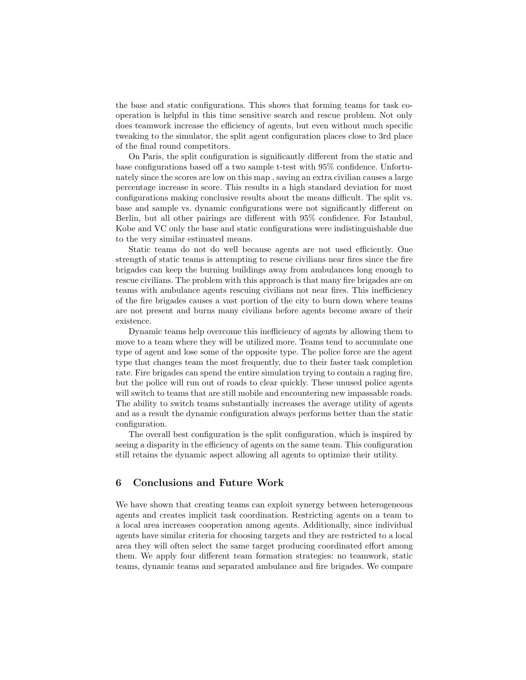the base and static configurations. This shows that forming teams for task cooperation is helpful in this time sensitive search and rescue problem. Not only does teamwork increase the efficiency of agents, but even without much specific tweaking to the simulator, the split agent configuration places close to 3rd place of the final round competitors.

On Paris, the split configuration is significantly different from the static and base configurations based off a two sample t-test with 95% confidence. Unfortunately since the scores are low on this map , saving an extra civilian causes a large percentage increase in score. This results in a high standard deviation for most configurations making conclusive results about the means difficult. The split vs. base and sample vs. dynamic configurations were not significantly different on Berlin, but all other pairings are different with 95% confidence. For Istanbul, Kobe and VC only the base and static configurations were indistinguishable due to the very similar estimated means.

Static teams do not do well because agents are not used efficiently. One strength of static teams is attempting to rescue civilians near fires since the fire brigades can keep the burning buildings away from ambulances long enough to rescue civilians. The problem with this approach is that many fire brigades are on teams with ambulance agents rescuing civilians not near fires. This inefficiency of the fire brigades causes a vast portion of the city to burn down where teams are not present and burns many civilians before agents become aware of their existence.

Dynamic teams help overcome this inefficiency of agents by allowing them to move to a team where they will be utilized more. Teams tend to accumulate one type of agent and lose some of the opposite type. The police force are the agent type that changes team the most frequently, due to their faster task completion rate. Fire brigades can spend the entire simulation trying to contain a raging fire, but the police will run out of roads to clear quickly. These unused police agents will switch to teams that are still mobile and encountering new impassable roads. The ability to switch teams substantially increases the average utility of agents and as a result the dynamic configuration always performs better than the static configuration.

The overall best configuration is the split configuration, which is inspired by seeing a disparity in the efficiency of agents on the same team. This configuration still retains the dynamic aspect allowing all agents to optimize their utility.

# 6 Conclusions and Future Work

We have shown that creating teams can exploit synergy between heterogeneous agents and creates implicit task coordination. Restricting agents on a team to a local area increases cooperation among agents. Additionally, since individual agents have similar criteria for choosing targets and they are restricted to a local area they will often select the same target producing coordinated effort among them. We apply four different team formation strategies: no teamwork, static teams, dynamic teams and separated ambulance and fire brigades. We compare